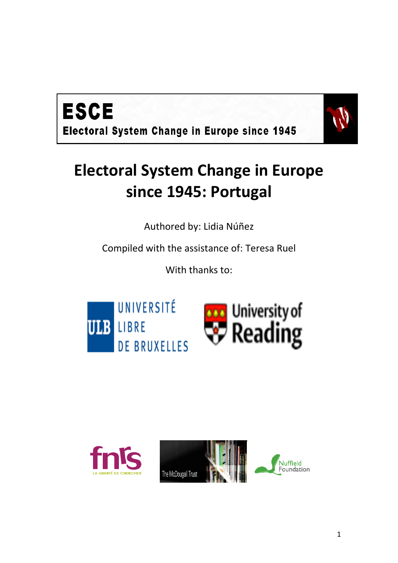



# **Electoral System Change in Europe since 1945: Portugal**

Authored by: Lidia Núñez

Compiled with the assistance of: Teresa Ruel

With thanks to:



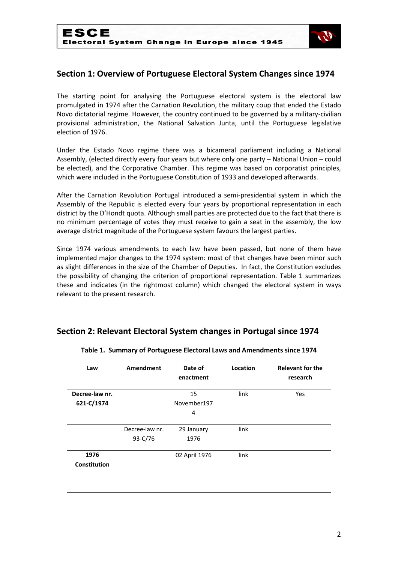

# **Section 1: Overview of Portuguese Electoral System Changes since 1974**

The starting point for analysing the Portuguese electoral system is the electoral law promulgated in 1974 after the Carnation Revolution, the military coup that ended the Estado Novo dictatorial regime. However, the country continued to be governed by a military-civilian provisional administration, the National Salvation Junta, until the Portuguese legislative election of 1976.

Under the Estado Novo regime there was a bicameral parliament including a National Assembly, (elected directly every four years but where only one party – National Union – could be elected), and the Corporative Chamber. This regime was based on corporatist principles, which were included in the Portuguese Constitution of 1933 and developed afterwards.

After the Carnation Revolution Portugal introduced a semi-presidential system in which the Assembly of the Republic is elected every four years by proportional representation in each district by the D'Hondt quota. Although small parties are protected due to the fact that there is no minimum percentage of votes they must receive to gain a seat in the assembly, the low average district magnitude of the Portuguese system favours the largest parties.

Since 1974 various amendments to each law have been passed, but none of them have implemented major changes to the 1974 system: most of that changes have been minor such as slight differences in the size of the Chamber of Deputies. In fact, the Constitution excludes the possibility of changing the criterion of proportional representation. Table 1 summarizes these and indicates (in the rightmost column) which changed the electoral system in ways relevant to the present research.

# **Section 2: Relevant Electoral System changes in Portugal since 1974**

| Law            | <b>Amendment</b> | Date of<br>enactment | Location | <b>Relevant for the</b><br>research |
|----------------|------------------|----------------------|----------|-------------------------------------|
| Decree-law nr. |                  | 15                   | link     | Yes                                 |
| 621-C/1974     |                  | November197          |          |                                     |
|                |                  | 4                    |          |                                     |
|                |                  |                      |          |                                     |
|                | Decree-law nr.   | 29 January           | link     |                                     |
|                | 93-C/76          | 1976                 |          |                                     |
| 1976           |                  | 02 April 1976        | link     |                                     |
| Constitution   |                  |                      |          |                                     |
|                |                  |                      |          |                                     |

#### **Table 1. Summary of Portuguese Electoral Laws and Amendments since 1974**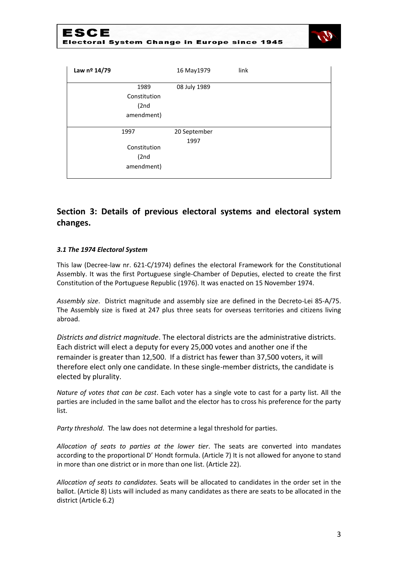| ESCE                                         |  |
|----------------------------------------------|--|
| Electoral System Change in Europe since 1945 |  |



| Law nº 14/79 | 16 May1979   | link |
|--------------|--------------|------|
| 1989         | 08 July 1989 |      |
| Constitution |              |      |
| (2nd)        |              |      |
| amendment)   |              |      |
|              |              |      |
| 1997         | 20 September |      |
|              | 1997         |      |
| Constitution |              |      |
| (2nd)        |              |      |
| amendment)   |              |      |

# **Section 3: Details of previous electoral systems and electoral system changes.**

#### *3.1 The 1974 Electoral System*

This law (Decree-law nr. 621-C/1974) defines the electoral Framework for the Constitutional Assembly. It was the first Portuguese single-Chamber of Deputies, elected to create the first Constitution of the Portuguese Republic (1976). It was enacted on 15 November 1974.

*Assembly size*. District magnitude and assembly size are defined in the Decreto-Lei 85-A/75. The Assembly size is fixed at 247 plus three seats for overseas territories and citizens living abroad.

*Districts and district magnitude*. The electoral districts are the administrative districts. Each district will elect a deputy for every 25,000 votes and another one if the remainder is greater than 12,500. If a district has fewer than 37,500 voters, it will therefore elect only one candidate. In these single-member districts, the candidate is elected by plurality.

*Nature of votes that can be cast*. Each voter has a single vote to cast for a party list. All the parties are included in the same ballot and the elector has to cross his preference for the party list.

*Party threshold*. The law does not determine a legal threshold for parties.

*Allocation of seats to parties at the lower tier*. The seats are converted into mandates according to the proportional D' Hondt formula. (Article 7) It is not allowed for anyone to stand in more than one district or in more than one list. (Article 22).

*Allocation of seats to candidates.* Seats will be allocated to candidates in the order set in the ballot. (Article 8) Lists will included as many candidates as there are seats to be allocated in the district (Article 6.2)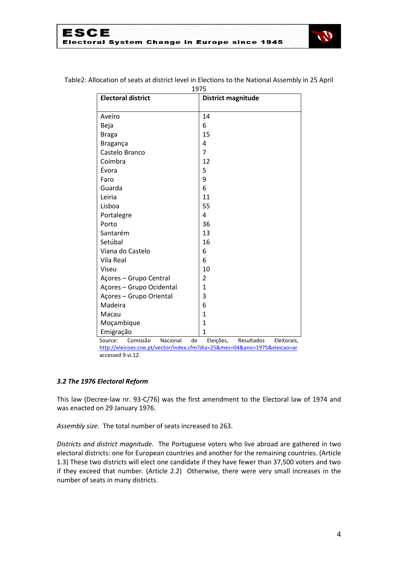

| <b>Electoral district</b>       | <b>District magnitude</b>                                                                                                 |
|---------------------------------|---------------------------------------------------------------------------------------------------------------------------|
|                                 |                                                                                                                           |
| Aveiro                          | 14                                                                                                                        |
| Beja                            | 6                                                                                                                         |
| <b>Braga</b>                    | 15                                                                                                                        |
| Bragança                        | 4                                                                                                                         |
| Castelo Branco                  | $\overline{7}$                                                                                                            |
| Coimbra                         | 12                                                                                                                        |
| Évora                           | 5                                                                                                                         |
| Faro                            | 9                                                                                                                         |
| Guarda                          | 6                                                                                                                         |
| Leiria                          | 11                                                                                                                        |
| Lisboa                          | 55                                                                                                                        |
| Portalegre                      | 4                                                                                                                         |
| Porto                           | 36                                                                                                                        |
| Santarém                        | 13                                                                                                                        |
| Setúbal                         | 16                                                                                                                        |
| Viana do Castelo                | 6                                                                                                                         |
| Vila Real                       | 6                                                                                                                         |
| Viseu                           | 10                                                                                                                        |
| Açores - Grupo Central          | 2                                                                                                                         |
| Açores - Grupo Ocidental        | $\mathbf{1}$                                                                                                              |
| Açores - Grupo Oriental         | 3                                                                                                                         |
| Madeira                         | 6                                                                                                                         |
| Macau                           | $\mathbf{1}$                                                                                                              |
| Moçambique                      | $\mathbf{1}$                                                                                                              |
| Emigração                       | $\mathbf{1}$                                                                                                              |
| Comissão<br>Nacional<br>Source: | Resultados<br>de<br>Eleições,<br>Eleitorais,<br>http://eleicoes.cne.pt/vector/index.cfm?dia=25&mes=04&ano=1975&eleicao=ar |

Table2: Allocation of seats at district level in Elections to the National Assembly in 25 April

<http://eleicoes.cne.pt/vector/index.cfm?dia=25&mes=04&ano=1975&eleicao=ar> accessed 9.vi.12.

#### *3.2 The 1976 Electoral Reform*

This law (Decree-law nr. 93-C/76) was the first amendment to the Electoral law of 1974 and was enacted on 29 January 1976.

*Assembly size*. The total number of seats increased to 263.

*Districts and district magnitude*. The Portuguese voters who live abroad are gathered in two electoral districts: one for European countries and another for the remaining countries. (Article 1.3) These two districts will elect one candidate if they have fewer than 37,500 voters and two if they exceed that number. (Article 2.2) Otherwise, there were very small increases in the number of seats in many districts.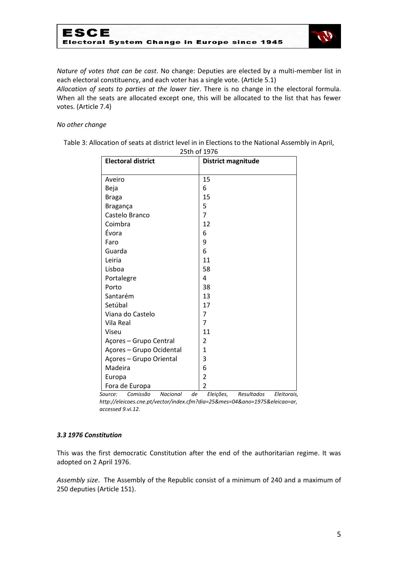



*Nature of votes that can be cast*. No change: Deputies are elected by a multi-member list in each electoral constituency, and each voter has a single vote. (Article 5.1)

*Allocation of seats to parties at the lower tier*. There is no change in the electoral formula. When all the seats are allocated except one, this will be allocated to the list that has fewer votes. (Article 7.4)

#### *No other change*

Table 3: Allocation of seats at district level in in Elections to the National Assembly in April, 25th of 1976

| <b>Electoral district</b> | District magnitude |
|---------------------------|--------------------|
|                           |                    |
| Aveiro                    | 15                 |
| Beja                      | 6                  |
| <b>Braga</b>              | 15                 |
| Bragança                  | 5                  |
| Castelo Branco            | $\overline{7}$     |
| Coimbra                   | 12                 |
| Évora                     | 6                  |
| Faro                      | 9                  |
| Guarda                    | 6                  |
| Leiria                    | 11                 |
| Lisboa                    | 58                 |
| Portalegre                | 4                  |
| Porto                     | 38                 |
| Santarém                  | 13                 |
| Setúbal                   | 17                 |
| Viana do Castelo          | 7                  |
| Vila Real                 | 7                  |
| Viseu                     | 11                 |
| Açores - Grupo Central    | 2                  |
| Açores - Grupo Ocidental  | $\mathbf{1}$       |
| Açores - Grupo Oriental   | 3                  |
| Madeira                   | 6                  |
| Europa                    | $\overline{2}$     |
| Fora de Europa            | 2                  |

*Source: Comissão Nacional de Eleições, Resultados Eleitorais, http://eleicoes.cne.pt/vector/index.cfm?dia=25&mes=04&ano=1975&eleicao=ar, accessed 9.vi.12.*

#### *3.3 1976 Constitution*

This was the first democratic Constitution after the end of the authoritarian regime. It was adopted on 2 April 1976.

*Assembly size*. The Assembly of the Republic consist of a minimum of 240 and a maximum of 250 deputies (Article 151).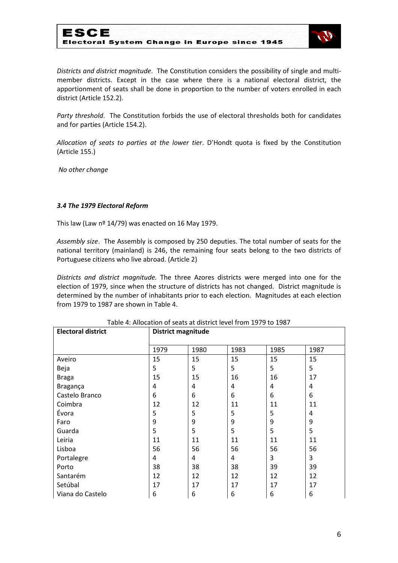

*Districts and district magnitude*. The Constitution considers the possibility of single and multimember districts. Except in the case where there is a national electoral district, the apportionment of seats shall be done in proportion to the number of voters enrolled in each district (Article 152.2).

*Party threshold*. The Constitution forbids the use of electoral thresholds both for candidates and for parties (Article 154.2).

*Allocation of seats to parties at the lower tier*. D'Hondt quota is fixed by the Constitution (Article 155.)

*No other change*

#### *3.4 The 1979 Electoral Reform*

This law (Law nº 14/79) was enacted on 16 May 1979.

*Assembly size*. The Assembly is composed by 250 deputies. The total number of seats for the national territory (mainland) is 246, the remaining four seats belong to the two districts of Portuguese citizens who live abroad. (Article 2)

*Districts and district magnitude.* The three Azores districts were merged into one for the election of 1979, since when the structure of districts has not changed. District magnitude is determined by the number of inhabitants prior to each election. Magnitudes at each election from 1979 to 1987 are shown in Table 4.

| <b>Electoral district</b> | <b>District magnitude</b> |      |      |      |      |
|---------------------------|---------------------------|------|------|------|------|
|                           | 1979                      | 1980 | 1983 | 1985 | 1987 |
| Aveiro                    | 15                        | 15   | 15   | 15   | 15   |
| Beja                      | 5                         | 5    | 5    | 5    | 5    |
| <b>Braga</b>              | 15                        | 15   | 16   | 16   | 17   |
| Bragança                  | 4                         | 4    | 4    | 4    | 4    |
| Castelo Branco            | 6                         | 6    | 6    | 6    | 6    |
| Coimbra                   | 12                        | 12   | 11   | 11   | 11   |
| Évora                     | 5                         | 5    | 5    | 5    | 4    |
| Faro                      | 9                         | 9    | 9    | 9    | 9    |
| Guarda                    | 5                         | 5    | 5    | 5    | 5    |
| Leiria                    | 11                        | 11   | 11   | 11   | 11   |
| Lisboa                    | 56                        | 56   | 56   | 56   | 56   |
| Portalegre                | 4                         | 4    | 4    | 3    | 3    |
| Porto                     | 38                        | 38   | 38   | 39   | 39   |
| Santarém                  | 12                        | 12   | 12   | 12   | 12   |
| Setúbal                   | 17                        | 17   | 17   | 17   | 17   |
| Viana do Castelo          | 6                         | 6    | 6    | 6    | 6    |

Table 4: Allocation of seats at district level from 1979 to 1987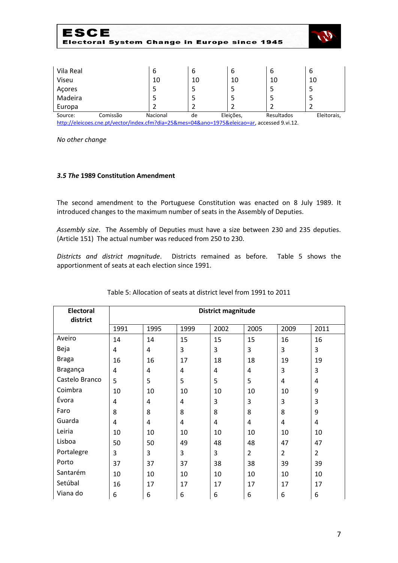| ЕЭСЕ      |          | Electoral System Change in Europe since 1945 |    |           |            |             |
|-----------|----------|----------------------------------------------|----|-----------|------------|-------------|
|           |          |                                              |    |           |            |             |
| Vila Real |          | 6                                            | 6  | 6         | 6          | 6           |
| Viseu     |          | 10                                           | 10 | 10        | 10         | 10          |
| Açores    |          | 5                                            |    |           |            | 5           |
| Madeira   |          | 5                                            |    |           | 5          |             |
| Europa    |          |                                              |    |           |            |             |
| Source:   | Comissão | Nacional                                     | de | Eleicões, | Resultados | Eleitorais, |

[http://eleicoes.cne.pt/vector/index.cfm?dia=25&mes=04&ano=1975&eleicao=ar,](http://eleicoes.cne.pt/vector/index.cfm?dia=25&mes=04&ano=1975&eleicao=ar) accessed 9.vi.12.

*No other change*

#### *3.5 The* **1989 Constitution Amendment**

The second amendment to the Portuguese Constitution was enacted on 8 July 1989. It introduced changes to the maximum number of seats in the Assembly of Deputies.

*Assembly size*. The Assembly of Deputies must have a size between 230 and 235 deputies. (Article 151) The actual number was reduced from 250 to 230.

*Districts and district magnitude*. Districts remained as before. Table 5 shows the apportionment of seats at each election since 1991.

| <b>Electoral</b><br>district | <b>District magnitude</b> |      |                |      |                |                |                |
|------------------------------|---------------------------|------|----------------|------|----------------|----------------|----------------|
|                              | 1991                      | 1995 | 1999           | 2002 | 2005           | 2009           | 2011           |
| Aveiro                       | 14                        | 14   | 15             | 15   | 15             | 16             | 16             |
| Beja                         | 4                         | 4    | 3              | 3    | 3              | 3              | 3              |
| <b>Braga</b>                 | 16                        | 16   | 17             | 18   | 18             | 19             | 19             |
| Bragança                     | 4                         | 4    | 4              | 4    | 4              | 3              | 3              |
| Castelo Branco               | 5                         | 5    | 5              | 5    | 5              | 4              | 4              |
| Coimbra                      | 10                        | 10   | 10             | 10   | 10             | 10             | 9              |
| Évora                        | 4                         | 4    | 4              | 3    | 3              | 3              | 3              |
| Faro                         | 8                         | 8    | 8              | 8    | 8              | 8              | 9              |
| Guarda                       | 4                         | 4    | $\overline{4}$ | 4    | 4              | $\overline{4}$ | 4              |
| Leiria                       | 10                        | 10   | 10             | 10   | 10             | 10             | 10             |
| Lisboa                       | 50                        | 50   | 49             | 48   | 48             | 47             | 47             |
| Portalegre                   | 3                         | 3    | 3              | 3    | $\overline{2}$ | $\overline{2}$ | $\overline{2}$ |
| Porto                        | 37                        | 37   | 37             | 38   | 38             | 39             | 39             |
| Santarém                     | 10                        | 10   | 10             | 10   | 10             | 10             | 10             |
| Setúbal                      | 16                        | 17   | 17             | 17   | 17             | 17             | 17             |
| Viana do                     | 6                         | 6    | 6              | 6    | 6              | 6              | 6              |

#### Table 5: Allocation of seats at district level from 1991 to 2011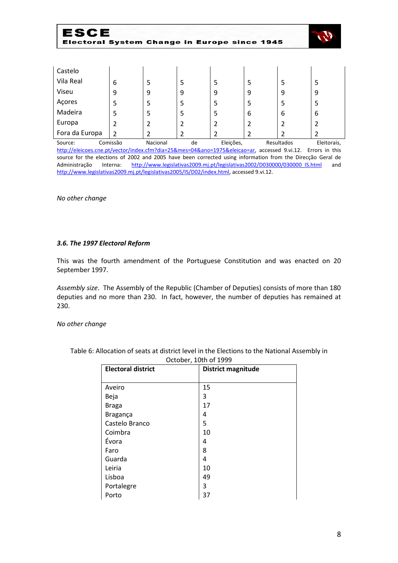

| Castelo        |   |   |   |   |   |   |   |
|----------------|---|---|---|---|---|---|---|
| Vila Real      | 6 | 5 | Ь |   | 5 |   | כ |
| Viseu          | 9 | 9 | 9 | 9 | 9 | 9 | 9 |
| Açores         | 5 | 5 | Ь | כ | 5 |   | 5 |
| Madeira        | ל | 5 | Ь | כ | 6 | 6 | 6 |
| Europa         |   | 2 |   |   |   |   |   |
| Fora da Europa | 2 | 2 |   |   |   |   |   |

Source: Comissão Nacional de Eleições, Resultados Eleitorais, [http://eleicoes.cne.pt/vector/index.cfm?dia=25&mes=04&ano=1975&eleicao=ar,](http://eleicoes.cne.pt/vector/index.cfm?dia=25&mes=04&ano=1975&eleicao=ar) accessed 9.vi.12. Errors in this source for the elections of 2002 and 2005 have been corrected using information from the Direcção Geral de Administração Interna: [http://www.legislativas2009.mj.pt/legislativas2002/D030000/030000\\_IS.html](http://www.legislativas2009.mj.pt/legislativas2002/D030000/030000_IS.html) and [http://www.legislativas2009.mj.pt/legislativas2005/IS/D02/index.html,](http://www.legislativas2009.mj.pt/legislativas2005/IS/D02/index.html) accessed 9.vi.12.

*No other change*

#### *3.6. The 1997 Electoral Reform*

This was the fourth amendment of the Portuguese Constitution and was enacted on 20 September 1997.

*Assembly size*. The Assembly of the Republic (Chamber of Deputies) consists of more than 180 deputies and no more than 230. In fact, however, the number of deputies has remained at 230.

*No other change*

| <b>Electoral district</b> | <b>District magnitude</b> |
|---------------------------|---------------------------|
|                           |                           |
| Aveiro                    | 15                        |
| Beja                      | 3                         |
| <b>Braga</b>              | 17                        |
| Bragança                  | 4                         |
| Castelo Branco            | 5                         |
| Coimbra                   | 10                        |
| Évora                     | 4                         |
| Faro                      | 8                         |
| Guarda                    | 4                         |
| Leiria                    | 10                        |
| Lisboa                    | 49                        |
| Portalegre                | 3                         |
| Porto                     | 37                        |

Table 6: Allocation of seats at district level in the Elections to the National Assembly in October, 10th of 1999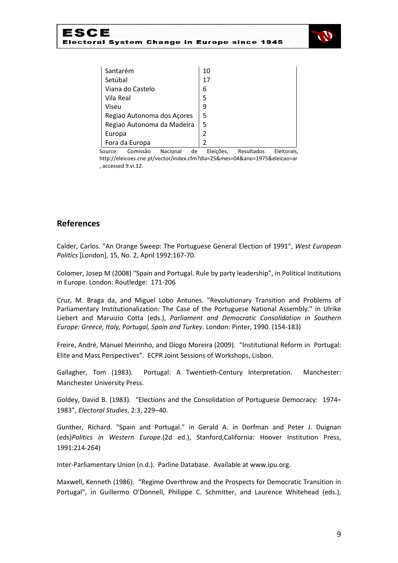



| Santarém                   | 10 |
|----------------------------|----|
| Setúbal                    | 17 |
| Viana do Castelo           | 6  |
| Vila Real                  | 5  |
| Viseu                      | 9  |
| Regiao Autonoma dos Açores | 5  |
| Regiao Autonoma da Madeira | 5  |
| Europa                     | 2  |
| Fora da Europa             | 2  |

Source: Comissão Nacional de Eleições, Resultados Eleitorais, http://eleicoes.cne.pt/vector/index.cfm?dia=25&mes=04&ano=1975&eleicao=ar , accessed 9.vi.12.

### **References**

Calder, Carlos. "An Orange Sweep: The Portuguese General Election of 1991", *West European Politics* [London], 15, No. 2, April 1992:167-70.

Colomer, Josep M (2008) "Spain and Portugal. Rule by party leadership", in Political Institutions in Europe. London: Routledge: 171-206

Cruz, M. Braga da, and Miguel Lobo Antunes. "Revolutionary Transition and Problems of Parliamentary Institutionalization: The Case of the Portuguese National Assembly." in Ulrike Liebert and Maruizio Cotta (eds.), *Parliament and Democratic Consolidation in Southern Europe: Greece, Italy, Portugal, Spain and Turkey*. London: Pinter, 1990. (154-183)

Freire, André, Manuel Meirinho, and Diogo Moreira (2009). "Institutional Reform in Portugal: Elite and Mass Perspectives". ECPR Joint Sessions of Workshops, Lisbon.

Gallagher, Tom (1983). Portugal: A Twentieth-Century Interpretation. Manchester: Manchester University Press.

Goldey, David B. (1983). "Elections and the Consolidation of Portuguese Democracy: 1974– 1983", *Electoral Studies*, 2:3, 229–40.

Gunther, Richard. "Spain and Portugal." in Gerald A. in Dorfman and Peter J. Duignan (eds)*Politics in Western Europe*.(2d ed.), Stanford,California: Hoover Institution Press, 1991:214-264)

Inter-Parliamentary Union (n.d.). Parline Database. Available at www.ipu.org.

Maxwell, Kenneth (1986). "Regime Overthrow and the Prospects for Democratic Transition in Portugal", in Guillermo O'Donnell, Philippe C. Schmitter, and Laurence Whitehead (eds.),